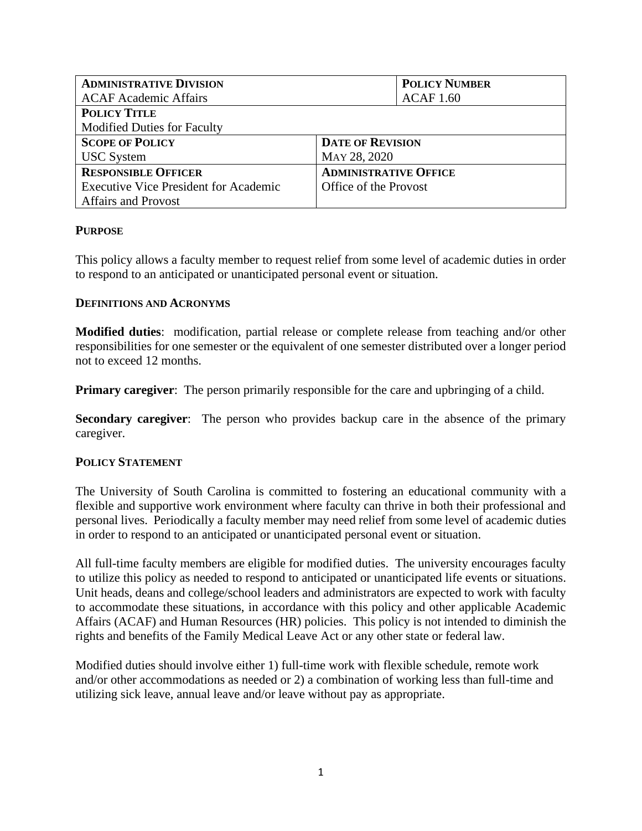| <b>ADMINISTRATIVE DIVISION</b>               | <b>POLICY NUMBER</b>         |
|----------------------------------------------|------------------------------|
| <b>ACAF Academic Affairs</b>                 | ACAF 1.60                    |
| <b>POLICY TITLE</b>                          |                              |
| <b>Modified Duties for Faculty</b>           |                              |
| <b>SCOPE OF POLICY</b>                       | <b>DATE OF REVISION</b>      |
| <b>USC</b> System                            | MAY 28, 2020                 |
| <b>RESPONSIBLE OFFICER</b>                   | <b>ADMINISTRATIVE OFFICE</b> |
| <b>Executive Vice President for Academic</b> | Office of the Provost        |
| <b>Affairs and Provost</b>                   |                              |

# **PURPOSE**

This policy allows a faculty member to request relief from some level of academic duties in order to respond to an anticipated or unanticipated personal event or situation.

### **DEFINITIONS AND ACRONYMS**

**Modified duties**: modification, partial release or complete release from teaching and/or other responsibilities for one semester or the equivalent of one semester distributed over a longer period not to exceed 12 months.

**Primary caregiver**: The person primarily responsible for the care and upbringing of a child.

**Secondary caregiver:** The person who provides backup care in the absence of the primary caregiver.

### **POLICY STATEMENT**

The University of South Carolina is committed to fostering an educational community with a flexible and supportive work environment where faculty can thrive in both their professional and personal lives. Periodically a faculty member may need relief from some level of academic duties in order to respond to an anticipated or unanticipated personal event or situation.

All full-time faculty members are eligible for modified duties. The university encourages faculty to utilize this policy as needed to respond to anticipated or unanticipated life events or situations. Unit heads, deans and college/school leaders and administrators are expected to work with faculty to accommodate these situations, in accordance with this policy and other applicable Academic Affairs (ACAF) and Human Resources (HR) policies. This policy is not intended to diminish the rights and benefits of the Family Medical Leave Act or any other state or federal law.

Modified duties should involve either 1) full-time work with flexible schedule, remote work and/or other accommodations as needed or 2) a combination of working less than full-time and utilizing sick leave, annual leave and/or leave without pay as appropriate.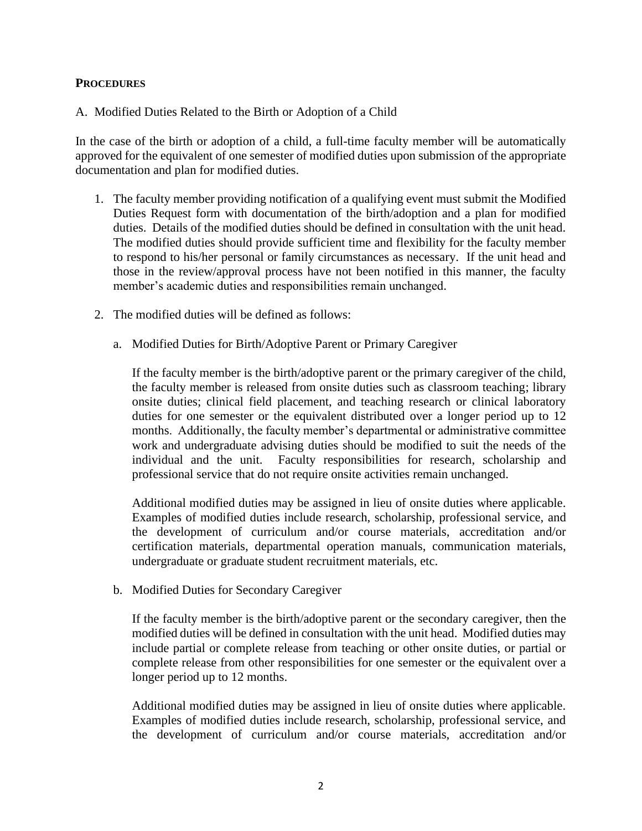#### **PROCEDURES**

A. Modified Duties Related to the Birth or Adoption of a Child

In the case of the birth or adoption of a child, a full-time faculty member will be automatically approved for the equivalent of one semester of modified duties upon submission of the appropriate documentation and plan for modified duties.

- 1. The faculty member providing notification of a qualifying event must submit the Modified Duties Request form with documentation of the birth/adoption and a plan for modified duties. Details of the modified duties should be defined in consultation with the unit head. The modified duties should provide sufficient time and flexibility for the faculty member to respond to his/her personal or family circumstances as necessary. If the unit head and those in the review/approval process have not been notified in this manner, the faculty member's academic duties and responsibilities remain unchanged.
- 2. The modified duties will be defined as follows:
	- a. Modified Duties for Birth/Adoptive Parent or Primary Caregiver

If the faculty member is the birth/adoptive parent or the primary caregiver of the child, the faculty member is released from onsite duties such as classroom teaching; library onsite duties; clinical field placement, and teaching research or clinical laboratory duties for one semester or the equivalent distributed over a longer period up to 12 months. Additionally, the faculty member's departmental or administrative committee work and undergraduate advising duties should be modified to suit the needs of the individual and the unit. Faculty responsibilities for research, scholarship and professional service that do not require onsite activities remain unchanged.

Additional modified duties may be assigned in lieu of onsite duties where applicable. Examples of modified duties include research, scholarship, professional service, and the development of curriculum and/or course materials, accreditation and/or certification materials, departmental operation manuals, communication materials, undergraduate or graduate student recruitment materials, etc.

b. Modified Duties for Secondary Caregiver

If the faculty member is the birth/adoptive parent or the secondary caregiver, then the modified duties will be defined in consultation with the unit head. Modified duties may include partial or complete release from teaching or other onsite duties, or partial or complete release from other responsibilities for one semester or the equivalent over a longer period up to 12 months.

Additional modified duties may be assigned in lieu of onsite duties where applicable. Examples of modified duties include research, scholarship, professional service, and the development of curriculum and/or course materials, accreditation and/or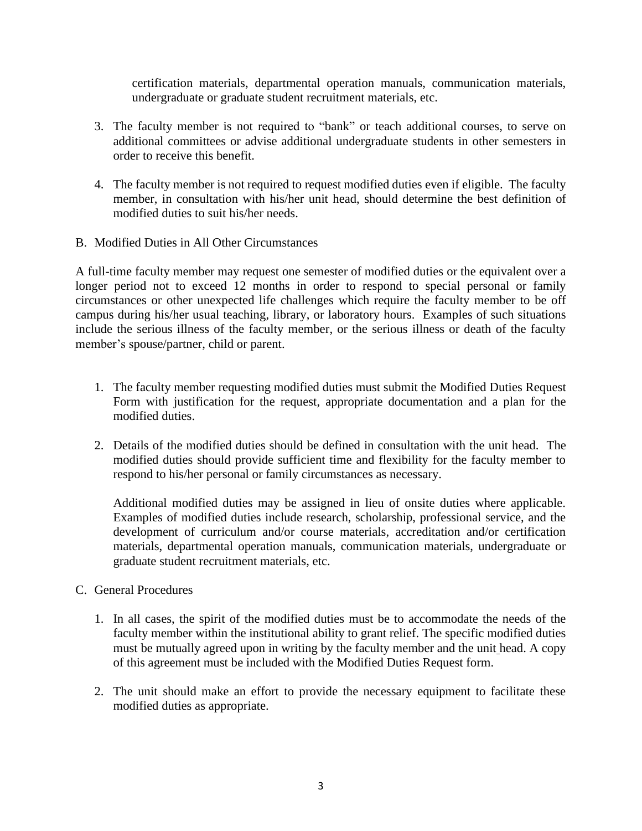certification materials, departmental operation manuals, communication materials, undergraduate or graduate student recruitment materials, etc.

- 3. The faculty member is not required to "bank" or teach additional courses, to serve on additional committees or advise additional undergraduate students in other semesters in order to receive this benefit.
- 4. The faculty member is not required to request modified duties even if eligible. The faculty member, in consultation with his/her unit head, should determine the best definition of modified duties to suit his/her needs.
- B. Modified Duties in All Other Circumstances

A full-time faculty member may request one semester of modified duties or the equivalent over a longer period not to exceed 12 months in order to respond to special personal or family circumstances or other unexpected life challenges which require the faculty member to be off campus during his/her usual teaching, library, or laboratory hours. Examples of such situations include the serious illness of the faculty member, or the serious illness or death of the faculty member's spouse/partner, child or parent.

- 1. The faculty member requesting modified duties must submit the Modified Duties Request Form with justification for the request, appropriate documentation and a plan for the modified duties.
- 2. Details of the modified duties should be defined in consultation with the unit head. The modified duties should provide sufficient time and flexibility for the faculty member to respond to his/her personal or family circumstances as necessary.

Additional modified duties may be assigned in lieu of onsite duties where applicable. Examples of modified duties include research, scholarship, professional service, and the development of curriculum and/or course materials, accreditation and/or certification materials, departmental operation manuals, communication materials, undergraduate or graduate student recruitment materials, etc.

- C. General Procedures
	- 1. In all cases, the spirit of the modified duties must be to accommodate the needs of the faculty member within the institutional ability to grant relief. The specific modified duties must be mutually agreed upon in writing by the faculty member and the unit head. A copy of this agreement must be included with the Modified Duties Request form.
	- 2. The unit should make an effort to provide the necessary equipment to facilitate these modified duties as appropriate.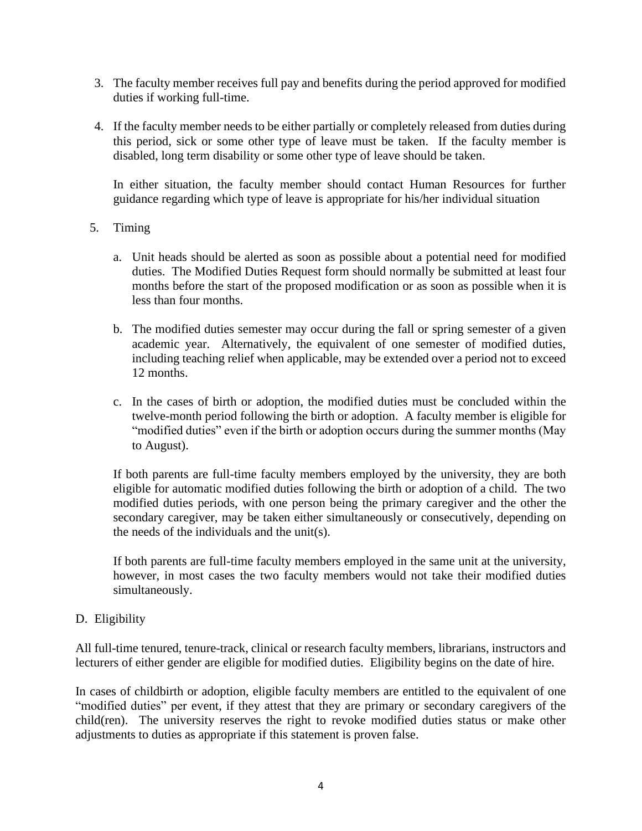- 3. The faculty member receives full pay and benefits during the period approved for modified duties if working full-time.
- 4. If the faculty member needs to be either partially or completely released from duties during this period, sick or some other type of leave must be taken. If the faculty member is disabled, long term disability or some other type of leave should be taken.

In either situation, the faculty member should contact Human Resources for further guidance regarding which type of leave is appropriate for his/her individual situation

- 5. Timing
	- a. Unit heads should be alerted as soon as possible about a potential need for modified duties. The Modified Duties Request form should normally be submitted at least four months before the start of the proposed modification or as soon as possible when it is less than four months.
	- b. The modified duties semester may occur during the fall or spring semester of a given academic year. Alternatively, the equivalent of one semester of modified duties, including teaching relief when applicable, may be extended over a period not to exceed 12 months.
	- c. In the cases of birth or adoption, the modified duties must be concluded within the twelve-month period following the birth or adoption. A faculty member is eligible for "modified duties" even if the birth or adoption occurs during the summer months (May to August).

If both parents are full-time faculty members employed by the university, they are both eligible for automatic modified duties following the birth or adoption of a child. The two modified duties periods, with one person being the primary caregiver and the other the secondary caregiver, may be taken either simultaneously or consecutively, depending on the needs of the individuals and the unit(s).

If both parents are full-time faculty members employed in the same unit at the university, however, in most cases the two faculty members would not take their modified duties simultaneously.

### D. Eligibility

All full-time tenured, tenure-track, clinical or research faculty members, librarians, instructors and lecturers of either gender are eligible for modified duties. Eligibility begins on the date of hire.

In cases of childbirth or adoption, eligible faculty members are entitled to the equivalent of one "modified duties" per event, if they attest that they are primary or secondary caregivers of the child(ren). The university reserves the right to revoke modified duties status or make other adjustments to duties as appropriate if this statement is proven false.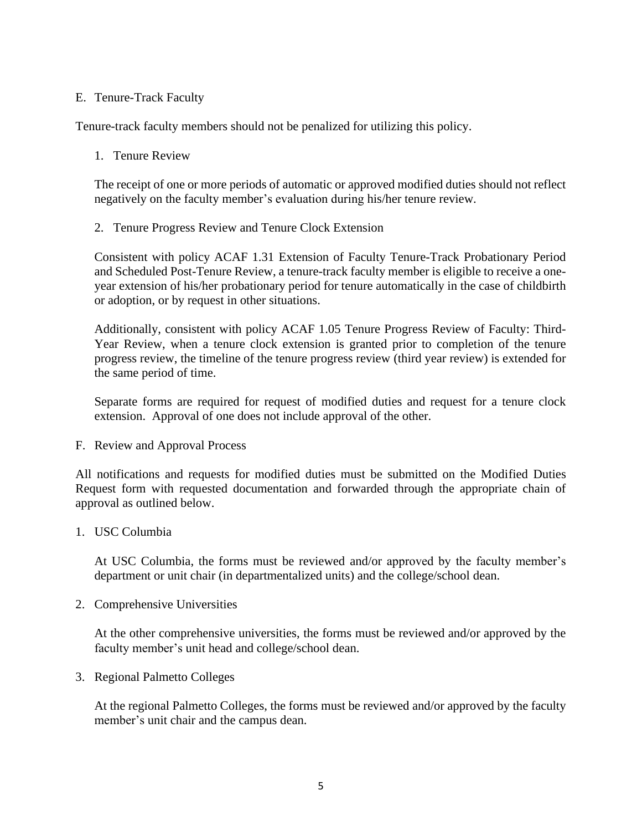### E. Tenure-Track Faculty

Tenure-track faculty members should not be penalized for utilizing this policy.

### 1. Tenure Review

The receipt of one or more periods of automatic or approved modified duties should not reflect negatively on the faculty member's evaluation during his/her tenure review.

2. Tenure Progress Review and Tenure Clock Extension

Consistent with policy ACAF 1.31 Extension of Faculty Tenure-Track Probationary Period and Scheduled Post-Tenure Review, a tenure-track faculty member is eligible to receive a oneyear extension of his/her probationary period for tenure automatically in the case of childbirth or adoption, or by request in other situations.

Additionally, consistent with policy ACAF 1.05 Tenure Progress Review of Faculty: Third-Year Review, when a tenure clock extension is granted prior to completion of the tenure progress review, the timeline of the tenure progress review (third year review) is extended for the same period of time.

Separate forms are required for request of modified duties and request for a tenure clock extension. Approval of one does not include approval of the other.

F. Review and Approval Process

All notifications and requests for modified duties must be submitted on the Modified Duties Request form with requested documentation and forwarded through the appropriate chain of approval as outlined below.

### 1. USC Columbia

At USC Columbia, the forms must be reviewed and/or approved by the faculty member's department or unit chair (in departmentalized units) and the college/school dean.

2. Comprehensive Universities

At the other comprehensive universities, the forms must be reviewed and/or approved by the faculty member's unit head and college/school dean.

3. Regional Palmetto Colleges

At the regional Palmetto Colleges, the forms must be reviewed and/or approved by the faculty member's unit chair and the campus dean.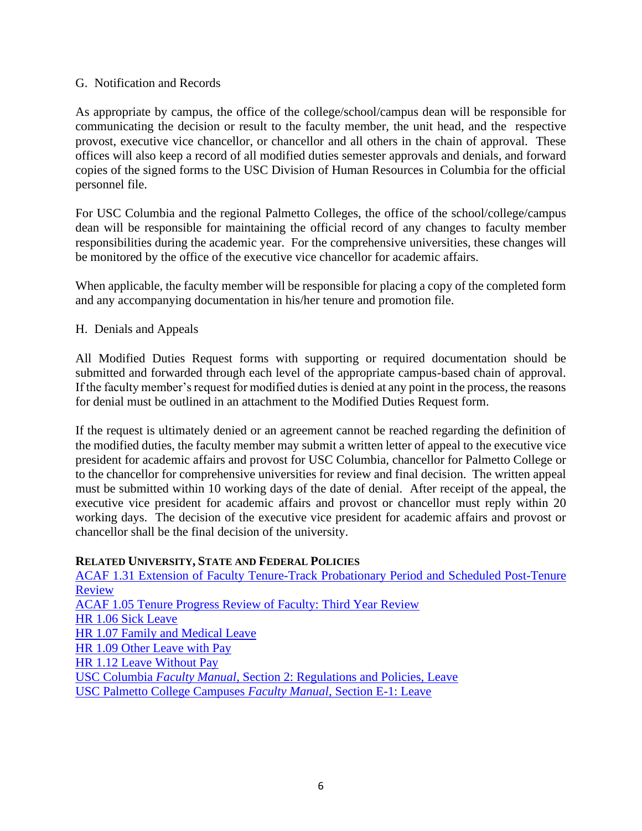### G. Notification and Records

As appropriate by campus, the office of the college/school/campus dean will be responsible for communicating the decision or result to the faculty member, the unit head, and the respective provost, executive vice chancellor, or chancellor and all others in the chain of approval. These offices will also keep a record of all modified duties semester approvals and denials, and forward copies of the signed forms to the USC Division of Human Resources in Columbia for the official personnel file.

For USC Columbia and the regional Palmetto Colleges, the office of the school/college/campus dean will be responsible for maintaining the official record of any changes to faculty member responsibilities during the academic year. For the comprehensive universities, these changes will be monitored by the office of the executive vice chancellor for academic affairs.

When applicable, the faculty member will be responsible for placing a copy of the completed form and any accompanying documentation in his/her tenure and promotion file.

# H. Denials and Appeals

All Modified Duties Request forms with supporting or required documentation should be submitted and forwarded through each level of the appropriate campus-based chain of approval. If the faculty member's request for modified duties is denied at any point in the process, the reasons for denial must be outlined in an attachment to the Modified Duties Request form.

If the request is ultimately denied or an agreement cannot be reached regarding the definition of the modified duties, the faculty member may submit a written letter of appeal to the executive vice president for academic affairs and provost for USC Columbia, chancellor for Palmetto College or to the chancellor for comprehensive universities for review and final decision. The written appeal must be submitted within 10 working days of the date of denial. After receipt of the appeal, the executive vice president for academic affairs and provost or chancellor must reply within 20 working days. The decision of the executive vice president for academic affairs and provost or chancellor shall be the final decision of the university.

### **RELATED UNIVERSITY, STATE AND FEDERAL POLICIES**

[ACAF 1.31 Extension of Faculty Tenure-Track Probationary Period](http://www.sc.edu/policies/ppm/acaf131.pdf) and Scheduled Post-Tenure [Review](http://www.sc.edu/policies/ppm/acaf131.pdf) [ACAF 1.05 Tenure Progress Review of Faculty: Third Year Review](http://www.sc.edu/policies/ppm/acaf105.pdf) HR [1.06 Sick Leave](http://www.sc.edu/policies/ppm/HR106.pdf) [HR 1.07 Family and Medical Leave](http://www.sc.edu/policies/ppm/hr107.pdf) HR [1.09 Other Leave with Pay](http://www.sc.edu/policies/ppm/hr109.pdf) [HR 1.12 Leave Without Pay](http://www.sc.edu/policies/ppm/hr112.pdf) USC Columbia *Faculty Manual*[, Section 2: Regulations and Policies, Leave](http://www.sc.edu/policies/facman/Faculty_Manual_Columbia.pdf) [USC Palmetto College Campuses](https://www.sc.edu/about/system_and_campuses/palmetto_college/internal/documents/faculty_manual/manual2014.pdf) *Faculty Manual*, Section E-1: Leave